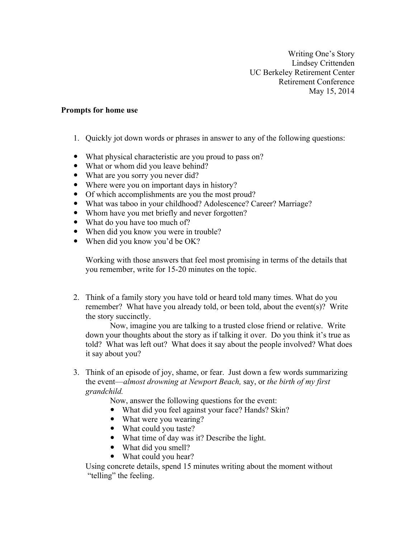Writing One's Story Lindsey Crittenden UC Berkeley Retirement Center Retirement Conference May 15, 2014

## **Prompts for home use**

- 1. Quickly jot down words or phrases in answer to any of the following questions:
- ! What physical characteristic are you proud to pass on?
- What or whom did you leave behind?
- What are you sorry you never did?
- Where were you on important days in history?
- Of which accomplishments are you the most proud?
- ! What was taboo in your childhood? Adolescence? Career? Marriage?
- ! Whom have you met briefly and never forgotten?
- What do you have too much of?
- When did you know you were in trouble?
- When did you know you'd be OK?

Working with those answers that feel most promising in terms of the details that you remember, write for 15-20 minutes on the topic.

2. Think of a family story you have told or heard told many times. What do you remember? What have you already told, or been told, about the event(s)? Write the story succinctly.

Now, imagine you are talking to a trusted close friend or relative. Write down your thoughts about the story as if talking it over. Do you think it's true as told? What was left out? What does it say about the people involved? What does it say about you?

3. Think of an episode of joy, shame, or fear. Just down a few words summarizing the event—*almost drowning at Newport Beach,* say, or *the birth of my first grandchild.* 

Now, answer the following questions for the event:

- What did you feel against your face? Hands? Skin?
- What were you wearing?
- What could you taste?
- What time of day was it? Describe the light.
- What did you smell?
- What could you hear?

Using concrete details, spend 15 minutes writing about the moment without "telling" the feeling.